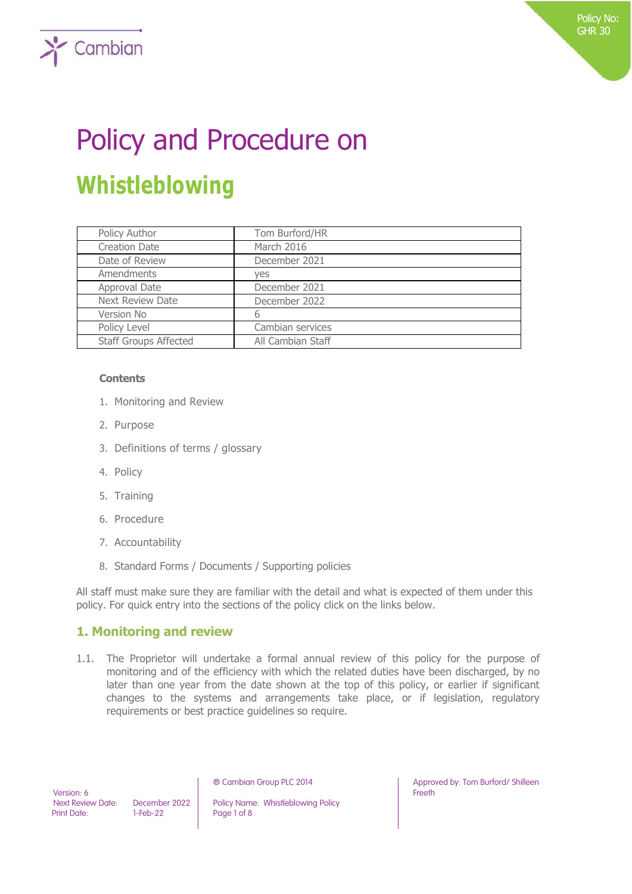# Policy and Procedure on **Whistleblowing**

| Policy Author                | Tom Burford/HR    |
|------------------------------|-------------------|
| <b>Creation Date</b>         | March 2016        |
| Date of Review               | December 2021     |
| Amendments                   | yes               |
| Approval Date                | December 2021     |
| <b>Next Review Date</b>      | December 2022     |
| Version No                   | 6                 |
| Policy Level                 | Cambian services  |
| <b>Staff Groups Affected</b> | All Cambian Staff |

#### **Contents**

 $\sum$  Cambian

- 1. Monitoring and Review
- 2. Purpose
- 3. Definitions of terms / glossary
- 4. Policy
- 5. Training
- 6. Procedure
- 7. Accountability
- 8. Standard Forms / Documents / Supporting policies

All staff must make sure they are familiar with the detail and what is expected of them under this policy. For quick entry into the sections of the policy click on the links below.

## **1. Monitoring and review**

1.1. The Proprietor will undertake a formal annual review of this policy for the purpose of monitoring and of the efficiency with which the related duties have been discharged, by no later than one year from the date shown at the top of this policy, or earlier if significant changes to the systems and arrangements take place, or if legislation, regulatory requirements or best practice guidelines so require.

 Version: 6 Print Date: 1-Feb-22 Page 1 of 8

Next Review Date: December 2022 | Policy Name: Whistleblowing Policy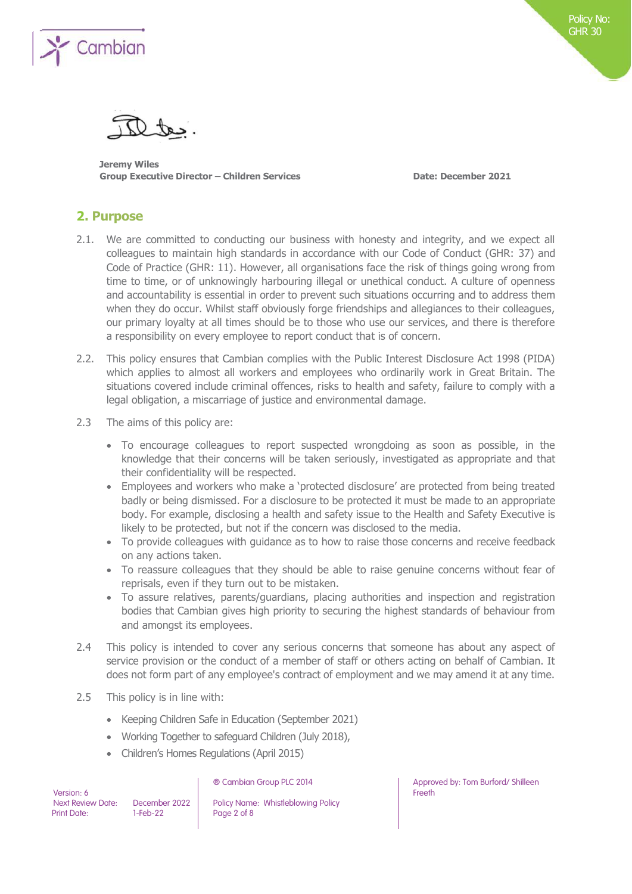

**Jeremy Wiles Group Executive Director – Children Services Date: December 2021**

## **2. Purpose**

- 2.1. We are committed to conducting our business with honesty and integrity, and we expect all colleagues to maintain high standards in accordance with our Code of Conduct (GHR: 37) and Code of Practice (GHR: 11). However, all organisations face the risk of things going wrong from time to time, or of unknowingly harbouring illegal or unethical conduct. A culture of openness and accountability is essential in order to prevent such situations occurring and to address them when they do occur. Whilst staff obviously forge friendships and allegiances to their colleagues, our primary loyalty at all times should be to those who use our services, and there is therefore a responsibility on every employee to report conduct that is of concern.
- 2.2. This policy ensures that Cambian complies with the Public Interest Disclosure Act 1998 (PIDA) which applies to almost all workers and employees who ordinarily work in Great Britain. The situations covered include criminal offences, risks to health and safety, failure to comply with a legal obligation, a miscarriage of justice and environmental damage.
- 2.3 The aims of this policy are:
	- To encourage colleagues to report suspected wrongdoing as soon as possible, in the knowledge that their concerns will be taken seriously, investigated as appropriate and that their confidentiality will be respected.
	- Employees and workers who make a 'protected disclosure' are protected from being treated badly or being dismissed. For a disclosure to be protected it must be made to an appropriate body. For example, disclosing a health and safety issue to the Health and Safety Executive is likely to be protected, but not if the concern was disclosed to the media.
	- To provide colleagues with guidance as to how to raise those concerns and receive feedback on any actions taken.
	- To reassure colleagues that they should be able to raise genuine concerns without fear of reprisals, even if they turn out to be mistaken.
	- To assure relatives, parents/guardians, placing authorities and inspection and registration bodies that Cambian gives high priority to securing the highest standards of behaviour from and amongst its employees.
- 2.4 This policy is intended to cover any serious concerns that someone has about any aspect of service provision or the conduct of a member of staff or others acting on behalf of Cambian. It does not form part of any employee's contract of employment and we may amend it at any time.
- 2.5 This policy is in line with:
	- Keeping Children Safe in Education (September 2021)
	- Working Together to safeguard Children (July 2018),
	- Children's Homes Regulations (April 2015)

| Version: 6         |  |
|--------------------|--|
| Next Review Date:  |  |
| <b>Print Date:</b> |  |

December 2022 | Policy Name: Whistleblowing Policy  $1-Feb-22$  Page 2 of 8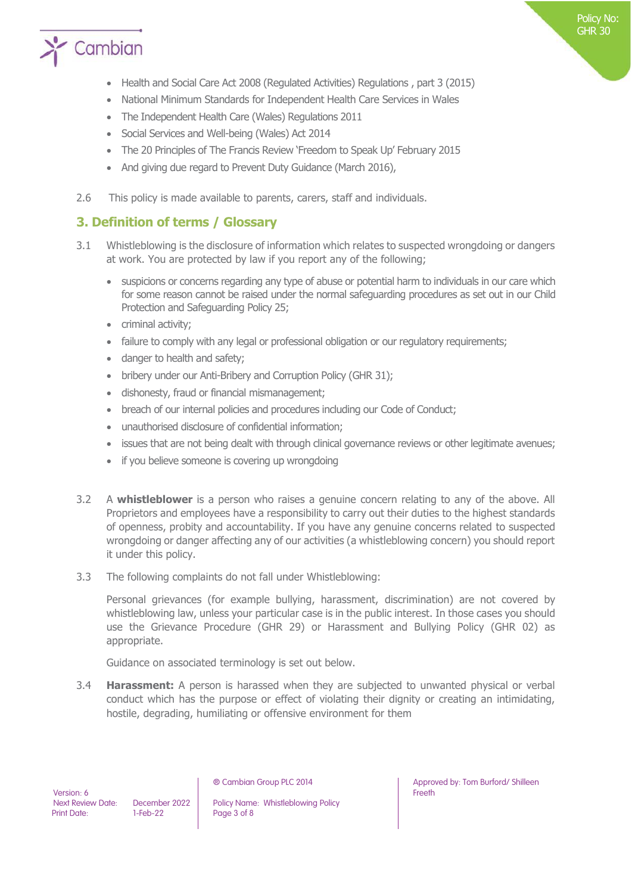

- Health and Social Care Act 2008 (Regulated Activities) Regulations , part 3 (2015)
- National Minimum Standards for Independent Health Care Services in Wales
- The Independent Health Care (Wales) Regulations 2011
- Social Services and Well-being (Wales) Act 2014
- The 20 Principles of The Francis Review 'Freedom to Speak Up' February 2015
- And giving due regard to Prevent Duty Guidance (March 2016),
- 2.6 This policy is made available to parents, carers, staff and individuals.

## **3. Definition of terms / Glossary**

- 3.1 Whistleblowing is the disclosure of information which relates to suspected wrongdoing or dangers at work. You are protected by law if you report any of the following;
	- suspicions or concerns regarding any type of abuse or potential harm to individuals in our care which for some reason cannot be raised under the normal safeguarding procedures as set out in our Child Protection and Safeguarding Policy 25;
	- criminal activity;
	- failure to comply with any legal or professional obligation or our regulatory requirements;
	- danger to health and safety;
	- bribery under our Anti-Bribery and Corruption Policy (GHR 31);
	- dishonesty, fraud or financial mismanagement;
	- breach of our internal policies and procedures including our Code of Conduct;
	- unauthorised disclosure of confidential information;
	- issues that are not being dealt with through clinical governance reviews or other legitimate avenues;
	- if you believe someone is covering up wrongdoing
- 3.2 A **whistleblower** is a person who raises a genuine concern relating to any of the above. All Proprietors and employees have a responsibility to carry out their duties to the highest standards of openness, probity and accountability. If you have any genuine concerns related to suspected wrongdoing or danger affecting any of our activities (a whistleblowing concern) you should report it under this policy.
- 3.3 The following complaints do not fall under Whistleblowing:

Personal grievances (for example bullying, harassment, discrimination) are not covered by whistleblowing law, unless your particular case is in the public interest. In those cases you should use the Grievance Procedure (GHR 29) or Harassment and Bullying Policy (GHR 02) as appropriate.

Guidance on associated terminology is set out below.

3.4 **Harassment:** A person is harassed when they are subjected to unwanted physical or verbal conduct which has the purpose or effect of violating their dignity or creating an intimidating, hostile, degrading, humiliating or offensive environment for them

December 2022 | Policy Name: Whistleblowing Policy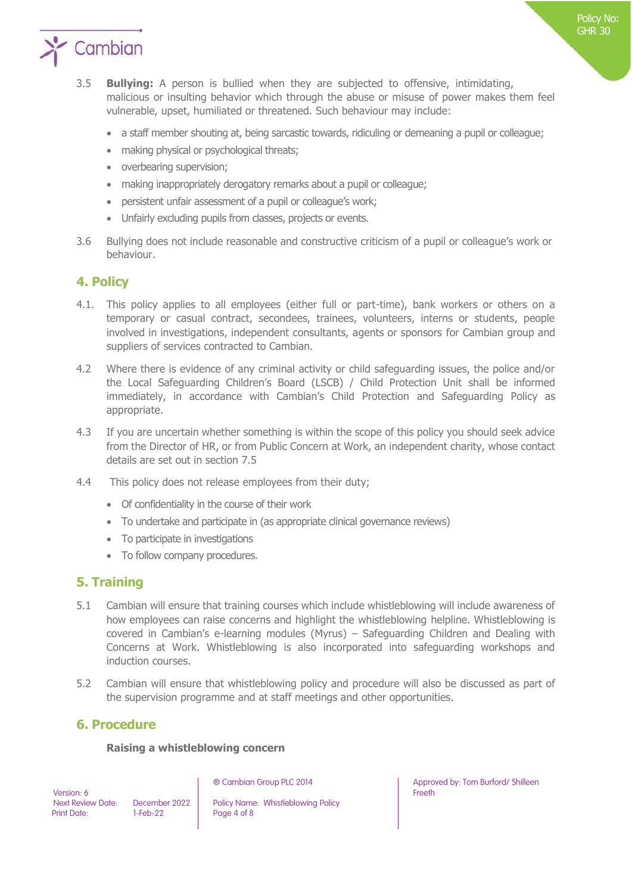

- a staff member shouting at, being sarcastic towards, ridiculing or demeaning a pupil or colleague;
- making physical or psychological threats;
- overbearing supervision;
- making inappropriately derogatory remarks about a pupil or colleague;
- persistent unfair assessment of a pupil or colleague's work;
- Unfairly excluding pupils from classes, projects or events.
- 3.6 Bullying does not include reasonable and constructive criticism of a pupil or colleague's work or behaviour.

## **4. Policy**

- 4.1. This policy applies to all employees (either full or part-time), bank workers or others on a temporary or casual contract, secondees, trainees, volunteers, interns or students, people involved in investigations, independent consultants, agents or sponsors for Cambian group and suppliers of services contracted to Cambian.
- 4.2 Where there is evidence of any criminal activity or child safeguarding issues, the police and/or the Local Safeguarding Children's Board (LSCB) / Child Protection Unit shall be informed immediately, in accordance with Cambian's Child Protection and Safeguarding Policy as appropriate.
- 4.3 If you are uncertain whether something is within the scope of this policy you should seek advice from the Director of HR, or from Public Concern at Work, an independent charity, whose contact details are set out in section 7.5
- 4.4 This policy does not release employees from their duty;
	- Of confidentiality in the course of their work
	- To undertake and participate in (as appropriate clinical governance reviews)
	- To participate in investigations
	- To follow company procedures.

## **5. Training**

- 5.1 Cambian will ensure that training courses which include whistleblowing will include awareness of how employees can raise concerns and highlight the whistleblowing helpline. Whistleblowing is covered in Cambian's e-learning modules (Myrus) – Safeguarding Children and Dealing with Concerns at Work. Whistleblowing is also incorporated into safeguarding workshops and induction courses.
- 5.2 Cambian will ensure that whistleblowing policy and procedure will also be discussed as part of the supervision programme and at staff meetings and other opportunities.

## **6. Procedure**

#### **Raising a whistleblowing concern**

 Version: 6 Print Date: 1-Feb-22 Page 4 of 8

Next Review Date: December 2022 | Policy Name: Whistleblowing Policy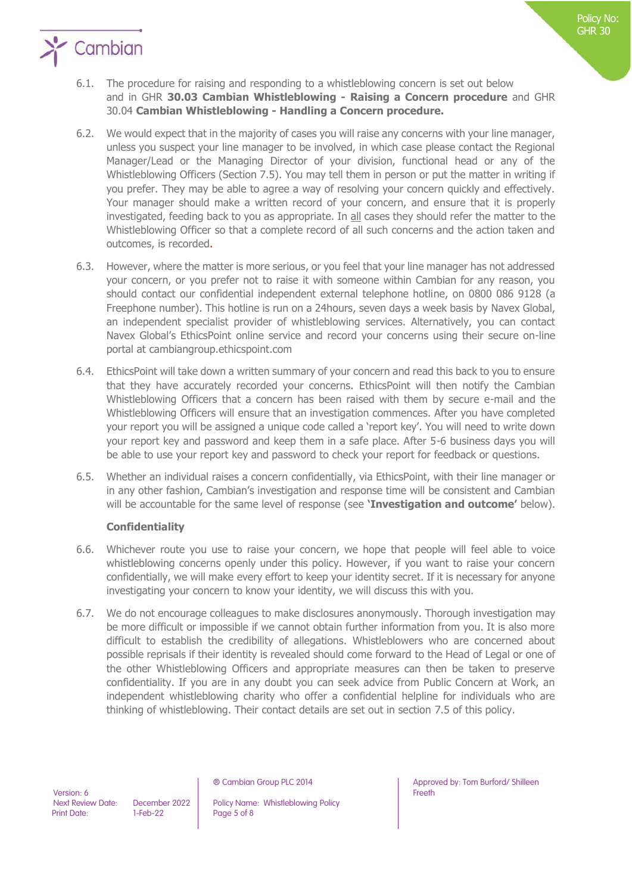

- 6.2. We would expect that in the majority of cases you will raise any concerns with your line manager, unless you suspect your line manager to be involved, in which case please contact the Regional Manager/Lead or the Managing Director of your division, functional head or any of the Whistleblowing Officers (Section 7.5). You may tell them in person or put the matter in writing if you prefer. They may be able to agree a way of resolving your concern quickly and effectively. Your manager should make a written record of your concern, and ensure that it is properly investigated, feeding back to you as appropriate. In all cases they should refer the matter to the Whistleblowing Officer so that a complete record of all such concerns and the action taken and outcomes, is recorded.
- 6.3. However, where the matter is more serious, or you feel that your line manager has not addressed your concern, or you prefer not to raise it with someone within Cambian for any reason, you should contact our confidential independent external telephone hotline, on 0800 086 9128 (a Freephone number). This hotline is run on a 24hours, seven days a week basis by Navex Global, an independent specialist provider of whistleblowing services. Alternatively, you can contact Navex Global's EthicsPoint online service and record your concerns using their secure on-line portal at cambiangroup.ethicspoint.com
- 6.4. EthicsPoint will take down a written summary of your concern and read this back to you to ensure that they have accurately recorded your concerns. EthicsPoint will then notify the Cambian Whistleblowing Officers that a concern has been raised with them by secure e-mail and the Whistleblowing Officers will ensure that an investigation commences. After you have completed your report you will be assigned a unique code called a 'report key'. You will need to write down your report key and password and keep them in a safe place. After 5-6 business days you will be able to use your report key and password to check your report for feedback or questions.
- 6.5. Whether an individual raises a concern confidentially, via EthicsPoint, with their line manager or in any other fashion, Cambian's investigation and response time will be consistent and Cambian will be accountable for the same level of response (see **'Investigation and outcome'** below).

## **Confidentiality**

- 6.6. Whichever route you use to raise your concern, we hope that people will feel able to voice whistleblowing concerns openly under this policy. However, if you want to raise your concern confidentially, we will make every effort to keep your identity secret. If it is necessary for anyone investigating your concern to know your identity, we will discuss this with you.
- 6.7. We do not encourage colleagues to make disclosures anonymously. Thorough investigation may be more difficult or impossible if we cannot obtain further information from you. It is also more difficult to establish the credibility of allegations. Whistleblowers who are concerned about possible reprisals if their identity is revealed should come forward to the Head of Legal or one of the other Whistleblowing Officers and appropriate measures can then be taken to preserve confidentiality. If you are in any doubt you can seek advice from Public Concern at Work, an independent whistleblowing charity who offer a confidential helpline for individuals who are thinking of whistleblowing. Their contact details are set out in section 7.5 of this policy.

Next Review Date: December 2022 | Policy Name: Whistleblowing Policy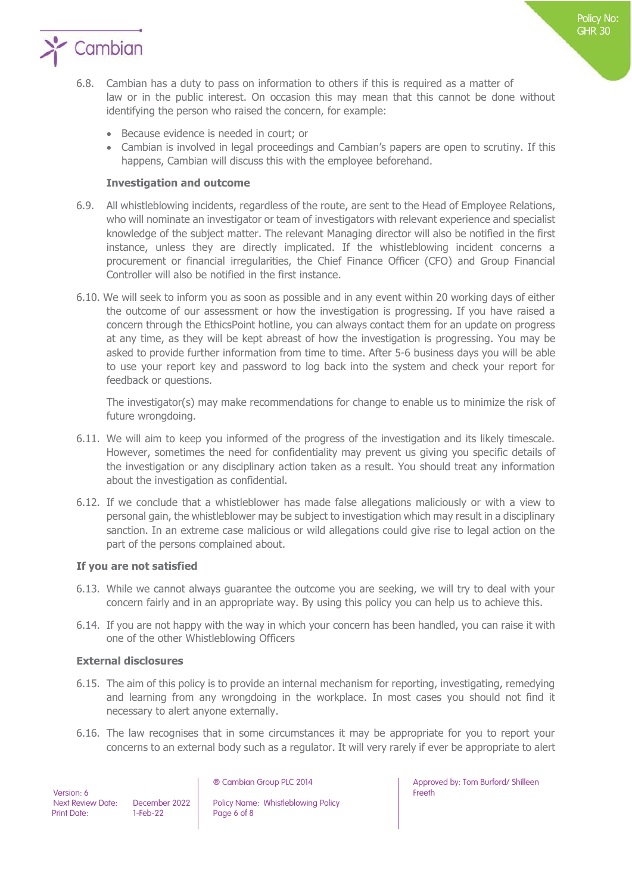

- 6.8. Cambian has a duty to pass on information to others if this is required as a matter of law or in the public interest. On occasion this may mean that this cannot be done without identifying the person who raised the concern, for example:
	- Because evidence is needed in court; or
	- Cambian is involved in legal proceedings and Cambian's papers are open to scrutiny. If this happens, Cambian will discuss this with the employee beforehand.

#### **Investigation and outcome**

- 6.9. All whistleblowing incidents, regardless of the route, are sent to the Head of Employee Relations, who will nominate an investigator or team of investigators with relevant experience and specialist knowledge of the subject matter. The relevant Managing director will also be notified in the first instance, unless they are directly implicated. If the whistleblowing incident concerns a procurement or financial irregularities, the Chief Finance Officer (CFO) and Group Financial Controller will also be notified in the first instance.
- 6.10. We will seek to inform you as soon as possible and in any event within 20 working days of either the outcome of our assessment or how the investigation is progressing. If you have raised a concern through the EthicsPoint hotline, you can always contact them for an update on progress at any time, as they will be kept abreast of how the investigation is progressing. You may be asked to provide further information from time to time. After 5-6 business days you will be able to use your report key and password to log back into the system and check your report for feedback or questions.

The investigator(s) may make recommendations for change to enable us to minimize the risk of future wrongdoing.

- 6.11. We will aim to keep you informed of the progress of the investigation and its likely timescale. However, sometimes the need for confidentiality may prevent us giving you specific details of the investigation or any disciplinary action taken as a result. You should treat any information about the investigation as confidential.
- 6.12. If we conclude that a whistleblower has made false allegations maliciously or with a view to personal gain, the whistleblower may be subject to investigation which may result in a disciplinary sanction. In an extreme case malicious or wild allegations could give rise to legal action on the part of the persons complained about.

#### **If you are not satisfied**

- 6.13. While we cannot always guarantee the outcome you are seeking, we will try to deal with your concern fairly and in an appropriate way. By using this policy you can help us to achieve this.
- 6.14. If you are not happy with the way in which your concern has been handled, you can raise it with one of the other Whistleblowing Officers

#### **External disclosures**

- 6.15. The aim of this policy is to provide an internal mechanism for reporting, investigating, remedying and learning from any wrongdoing in the workplace. In most cases you should not find it necessary to alert anyone externally.
- 6.16. The law recognises that in some circumstances it may be appropriate for you to report your concerns to an external body such as a regulator. It will very rarely if ever be appropriate to alert

 Version: 6 Print Date: 1-Feb-22 Page 6 of 8

Next Review Date: December 2022 | Policy Name: Whistleblowing Policy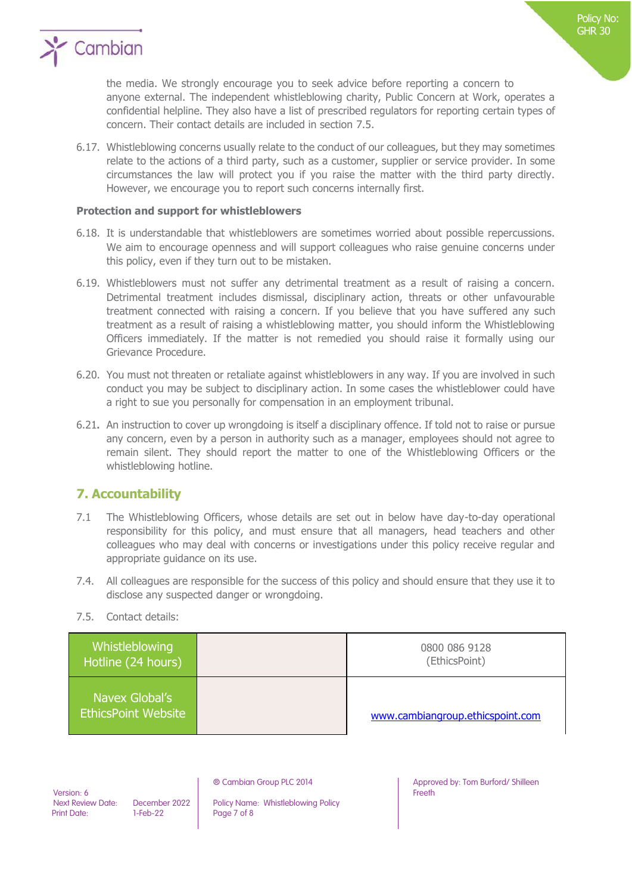

the media. We strongly encourage you to seek advice before reporting a concern to anyone external. The independent whistleblowing charity, Public Concern at Work, operates a confidential helpline. They also have a list of prescribed regulators for reporting certain types of concern. Their contact details are included in section 7.5.

6.17. Whistleblowing concerns usually relate to the conduct of our colleagues, but they may sometimes relate to the actions of a third party, such as a customer, supplier or service provider. In some circumstances the law will protect you if you raise the matter with the third party directly. However, we encourage you to report such concerns internally first.

#### **Protection and support for whistleblowers**

- 6.18. It is understandable that whistleblowers are sometimes worried about possible repercussions. We aim to encourage openness and will support colleagues who raise genuine concerns under this policy, even if they turn out to be mistaken.
- 6.19. Whistleblowers must not suffer any detrimental treatment as a result of raising a concern. Detrimental treatment includes dismissal, disciplinary action, threats or other unfavourable treatment connected with raising a concern. If you believe that you have suffered any such treatment as a result of raising a whistleblowing matter, you should inform the Whistleblowing Officers immediately. If the matter is not remedied you should raise it formally using our Grievance Procedure.
- 6.20. You must not threaten or retaliate against whistleblowers in any way. If you are involved in such conduct you may be subject to disciplinary action. In some cases the whistleblower could have a right to sue you personally for compensation in an employment tribunal.
- 6.21**.** An instruction to cover up wrongdoing is itself a disciplinary offence. If told not to raise or pursue any concern, even by a person in authority such as a manager, employees should not agree to remain silent. They should report the matter to one of the Whistleblowing Officers or the whistleblowing hotline.

## **7. Accountability**

- 7.1 The Whistleblowing Officers, whose details are set out in below have day-to-day operational responsibility for this policy, and must ensure that all managers, head teachers and other colleagues who may deal with concerns or investigations under this policy receive regular and appropriate guidance on its use.
- 7.4. All colleagues are responsible for the success of this policy and should ensure that they use it to disclose any suspected danger or wrongdoing.
- 7.5. Contact details:

| Whistleblowing<br>Hotline (24 hours)         | 0800 086 9128<br>(EthicsPoint)   |
|----------------------------------------------|----------------------------------|
| Navex Global's<br><b>EthicsPoint Website</b> | www.cambiangroup.ethicspoint.com |

 Version: 6 Print Date: 1-Feb-22 Page 7 of 8

Next Review Date: December 2022 | Policy Name: Whistleblowing Policy